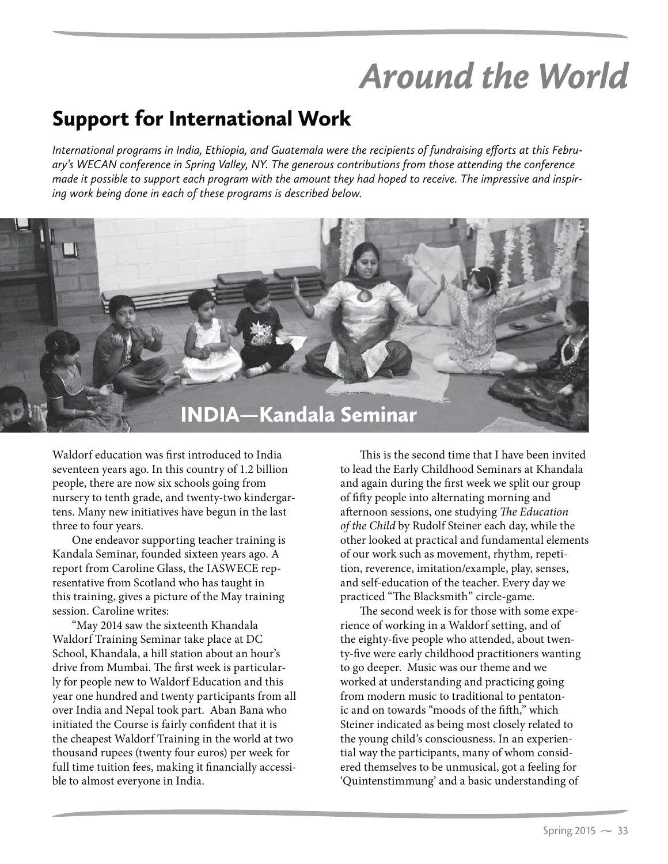## *Around the World*

## Support for International Work

*International programs in India, Ethiopia, and Guatemala were the recipients of fundraising efforts at this February's WECAN conference in Spring Valley, NY. The generous contributions from those attending the conference made it possible to support each program with the amount they had hoped to receive. The impressive and inspiring work being done in each of these programs is described below.*



Waldorf education was first introduced to India seventeen years ago. In this country of 1.2 billion people, there are now six schools going from nursery to tenth grade, and twenty-two kindergartens. Many new initiatives have begun in the last three to four years.

One endeavor supporting teacher training is Kandala Seminar, founded sixteen years ago. A report from Caroline Glass, the IASWECE representative from Scotland who has taught in this training, gives a picture of the May training session. Caroline writes:

"May 2014 saw the sixteenth Khandala Waldorf Training Seminar take place at DC School, Khandala, a hill station about an hour's drive from Mumbai. The first week is particularly for people new to Waldorf Education and this year one hundred and twenty participants from all over India and Nepal took part. Aban Bana who initiated the Course is fairly confident that it is the cheapest Waldorf Training in the world at two thousand rupees (twenty four euros) per week for full time tuition fees, making it financially accessible to almost everyone in India.

This is the second time that I have been invited to lead the Early Childhood Seminars at Khandala and again during the first week we split our group of fifty people into alternating morning and afternoon sessions, one studying *The Education of the Child* by Rudolf Steiner each day, while the other looked at practical and fundamental elements of our work such as movement, rhythm, repetition, reverence, imitation/example, play, senses, and self-education of the teacher. Every day we practiced "The Blacksmith" circle-game.

The second week is for those with some experience of working in a Waldorf setting, and of the eighty-five people who attended, about twenty-five were early childhood practitioners wanting to go deeper. Music was our theme and we worked at understanding and practicing going from modern music to traditional to pentatonic and on towards "moods of the fifth," which Steiner indicated as being most closely related to the young child's consciousness. In an experiential way the participants, many of whom considered themselves to be unmusical, got a feeling for 'Quintenstimmung' and a basic understanding of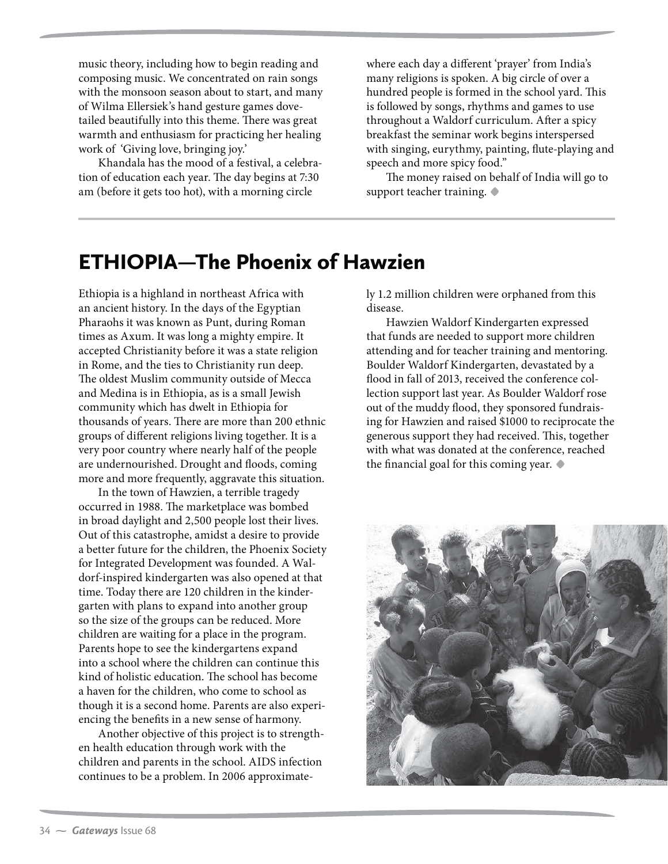music theory, including how to begin reading and composing music. We concentrated on rain songs with the monsoon season about to start, and many of Wilma Ellersiek's hand gesture games dovetailed beautifully into this theme. There was great warmth and enthusiasm for practicing her healing work of 'Giving love, bringing joy.'

Khandala has the mood of a festival, a celebration of education each year. The day begins at 7:30 am (before it gets too hot), with a morning circle

where each day a different 'prayer' from India's many religions is spoken. A big circle of over a hundred people is formed in the school yard. This is followed by songs, rhythms and games to use throughout a Waldorf curriculum. After a spicy breakfast the seminar work begins interspersed with singing, eurythmy, painting, flute-playing and speech and more spicy food."

The money raised on behalf of India will go to support teacher training. **t**

## ETHIOPIA—The Phoenix of Hawzien

Ethiopia is a highland in northeast Africa with an ancient history. In the days of the Egyptian Pharaohs it was known as Punt, during Roman times as Axum. It was long a mighty empire. It accepted Christianity before it was a state religion in Rome, and the ties to Christianity run deep. The oldest Muslim community outside of Mecca and Medina is in Ethiopia, as is a small Jewish community which has dwelt in Ethiopia for thousands of years. There are more than 200 ethnic groups of different religions living together. It is a very poor country where nearly half of the people are undernourished. Drought and floods, coming more and more frequently, aggravate this situation.

In the town of Hawzien, a terrible tragedy occurred in 1988. The marketplace was bombed in broad daylight and 2,500 people lost their lives. Out of this catastrophe, amidst a desire to provide a better future for the children, the Phoenix Society for Integrated Development was founded. A Waldorf-inspired kindergarten was also opened at that time. Today there are 120 children in the kindergarten with plans to expand into another group so the size of the groups can be reduced. More children are waiting for a place in the program. Parents hope to see the kindergartens expand into a school where the children can continue this kind of holistic education. The school has become a haven for the children, who come to school as though it is a second home. Parents are also experiencing the benefits in a new sense of harmony.

Another objective of this project is to strengthen health education through work with the children and parents in the school. AIDS infection continues to be a problem. In 2006 approximately 1.2 million children were orphaned from this disease.

Hawzien Waldorf Kindergarten expressed that funds are needed to support more children attending and for teacher training and mentoring. Boulder Waldorf Kindergarten, devastated by a flood in fall of 2013, received the conference collection support last year. As Boulder Waldorf rose out of the muddy flood, they sponsored fundraising for Hawzien and raised \$1000 to reciprocate the generous support they had received. This, together with what was donated at the conference, reached the financial goal for this coming year. **t**